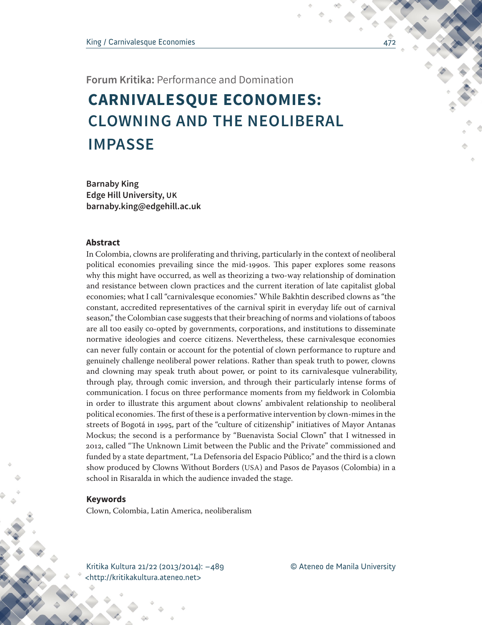# **IMPASSE CARNIVALESQUE ECONOMIES: CLOWNING AND THE NEOLIBERAL**

**Barnaby King Edge Hill University, UK barnaby.king@edgehill.ac.uk**

## **Abstract**

In Colombia, clowns are proliferating and thriving, particularly in the context of neoliberal political economies prevailing since the mid-1990s. This paper explores some reasons why this might have occurred, as well as theorizing a two-way relationship of domination and resistance between clown practices and the current iteration of late capitalist global economies; what I call "carnivalesque economies." While Bakhtin described clowns as "the constant, accredited representatives of the carnival spirit in everyday life out of carnival season," the Colombian case suggests that their breaching of norms and violations of taboos are all too easily co-opted by governments, corporations, and institutions to disseminate normative ideologies and coerce citizens. Nevertheless, these carnivalesque economies can never fully contain or account for the potential of clown performance to rupture and genuinely challenge neoliberal power relations. Rather than speak truth to power, clowns and clowning may speak truth about power, or point to its carnivalesque vulnerability, through play, through comic inversion, and through their particularly intense forms of communication. I focus on three performance moments from my fieldwork in Colombia in order to illustrate this argument about clowns' ambivalent relationship to neoliberal political economies. The first of these is a performative intervention by clown-mimes in the streets of Bogotá in 1995, part of the "culture of citizenship" initiatives of Mayor Antanas Mockus; the second is a performance by "Buenavista Social Clown" that I witnessed in 2012, called "The Unknown Limit between the Public and the Private" commissioned and funded by a state department, "La Defensoria del Espacio Público;" and the third is a clown show produced by Clowns Without Borders (USA) and Pasos de Payasos (Colombia) in a school in Risaralda in which the audience invaded the stage.

#### **Keywords**

Clown, Colombia, Latin America, neoliberalism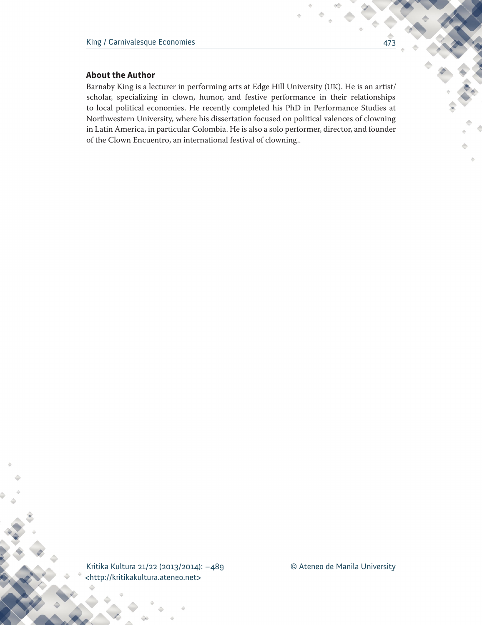# **About the Author**

Barnaby King is a lecturer in performing arts at Edge Hill University (UK). He is an artist/ scholar, specializing in clown, humor, and festive performance in their relationships to local political economies. He recently completed his PhD in Performance Studies at Northwestern University, where his dissertation focused on political valences of clowning in Latin America, in particular Colombia. He is also a solo performer, director, and founder of the Clown Encuentro, an international festival of clowning..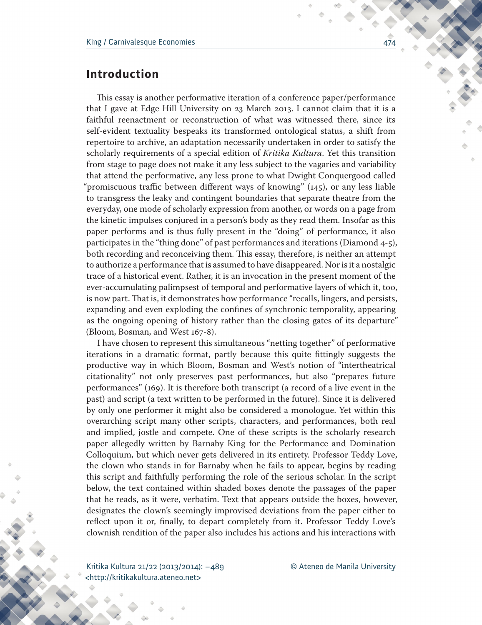# **Introduction**

This essay is another performative iteration of a conference paper/performance that I gave at Edge Hill University on 23 March 2013. I cannot claim that it is a faithful reenactment or reconstruction of what was witnessed there, since its self-evident textuality bespeaks its transformed ontological status, a shift from repertoire to archive, an adaptation necessarily undertaken in order to satisfy the scholarly requirements of a special edition of *Kritika Kultura*. Yet this transition from stage to page does not make it any less subject to the vagaries and variability that attend the performative, any less prone to what Dwight Conquergood called "promiscuous traffic between different ways of knowing" (145), or any less liable to transgress the leaky and contingent boundaries that separate theatre from the everyday, one mode of scholarly expression from another, or words on a page from the kinetic impulses conjured in a person's body as they read them. Insofar as this paper performs and is thus fully present in the "doing" of performance, it also participates in the "thing done" of past performances and iterations (Diamond  $4-5$ ), both recording and reconceiving them. This essay, therefore, is neither an attempt to authorize a performance that is assumed to have disappeared. Nor is it a nostalgic trace of a historical event. Rather, it is an invocation in the present moment of the ever-accumulating palimpsest of temporal and performative layers of which it, too, is now part. That is, it demonstrates how performance "recalls, lingers, and persists, expanding and even exploding the confines of synchronic temporality, appearing as the ongoing opening of history rather than the closing gates of its departure" (Bloom, Bosman, and West 167-8).

I have chosen to represent this simultaneous "netting together" of performative iterations in a dramatic format, partly because this quite fittingly suggests the productive way in which Bloom, Bosman and West's notion of "intertheatrical citationality" not only preserves past performances, but also "prepares future performances" (169). It is therefore both transcript (a record of a live event in the past) and script (a text written to be performed in the future). Since it is delivered by only one performer it might also be considered a monologue. Yet within this overarching script many other scripts, characters, and performances, both real and implied, jostle and compete. One of these scripts is the scholarly research paper allegedly written by Barnaby King for the Performance and Domination Colloquium, but which never gets delivered in its entirety. Professor Teddy Love, the clown who stands in for Barnaby when he fails to appear, begins by reading this script and faithfully performing the role of the serious scholar. In the script below, the text contained within shaded boxes denote the passages of the paper that he reads, as it were, verbatim. Text that appears outside the boxes, however, designates the clown's seemingly improvised deviations from the paper either to reflect upon it or, finally, to depart completely from it. Professor Teddy Love's clownish rendition of the paper also includes his actions and his interactions with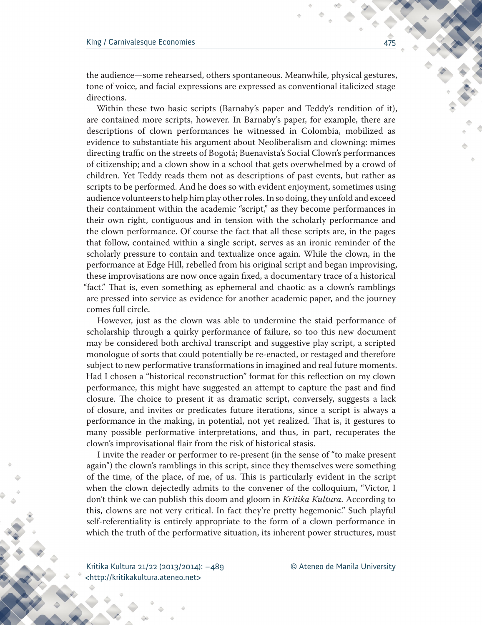the audience—some rehearsed, others spontaneous. Meanwhile, physical gestures, tone of voice, and facial expressions are expressed as conventional italicized stage directions.

Within these two basic scripts (Barnaby's paper and Teddy's rendition of it), are contained more scripts, however. In Barnaby's paper, for example, there are descriptions of clown performances he witnessed in Colombia, mobilized as evidence to substantiate his argument about Neoliberalism and clowning: mimes directing traffic on the streets of Bogotá; Buenavista's Social Clown's performances of citizenship; and a clown show in a school that gets overwhelmed by a crowd of children. Yet Teddy reads them not as descriptions of past events, but rather as scripts to be performed. And he does so with evident enjoyment, sometimes using audience volunteers to help him play other roles. In so doing, they unfold and exceed their containment within the academic "script," as they become performances in their own right, contiguous and in tension with the scholarly performance and the clown performance. Of course the fact that all these scripts are, in the pages that follow, contained within a single script, serves as an ironic reminder of the scholarly pressure to contain and textualize once again. While the clown, in the performance at Edge Hill, rebelled from his original script and began improvising, these improvisations are now once again fixed, a documentary trace of a historical "fact." That is, even something as ephemeral and chaotic as a clown's ramblings are pressed into service as evidence for another academic paper, and the journey comes full circle.

However, just as the clown was able to undermine the staid performance of scholarship through a quirky performance of failure, so too this new document may be considered both archival transcript and suggestive play script, a scripted monologue of sorts that could potentially be re-enacted, or restaged and therefore subject to new performative transformations in imagined and real future moments. Had I chosen a "historical reconstruction" format for this reflection on my clown performance, this might have suggested an attempt to capture the past and find closure. The choice to present it as dramatic script, conversely, suggests a lack of closure, and invites or predicates future iterations, since a script is always a performance in the making, in potential, not yet realized. That is, it gestures to many possible performative interpretations, and thus, in part, recuperates the clown's improvisational flair from the risk of historical stasis.

I invite the reader or performer to re-present (in the sense of "to make present again") the clown's ramblings in this script, since they themselves were something of the time, of the place, of me, of us. This is particularly evident in the script when the clown dejectedly admits to the convener of the colloquium, "Victor, I don't think we can publish this doom and gloom in *Kritika Kultura.* According to this, clowns are not very critical. In fact they're pretty hegemonic." Such playful self-referentiality is entirely appropriate to the form of a clown performance in which the truth of the performative situation, its inherent power structures, must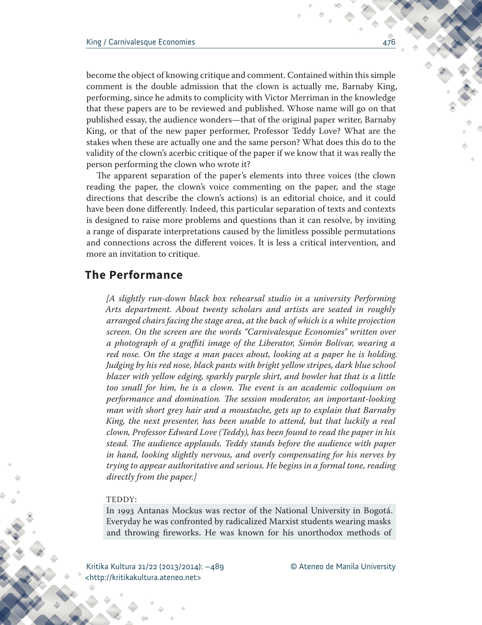become the object of knowing critique and comment. Contained within this simple comment is the double admission that the clown is actually me, Barnaby King, performing, since he admits to complicity with Victor Merriman in the knowledge that these papers are to be reviewed and published. Whose name will go on that published essay, the audience wonders—that of the original paper writer, Barnaby King, or that of the new paper performer, Professor Teddy Love? What are the stakes when these are actually one and the same person? What does this do to the validity of the clown's acerbic critique of the paper if we know that it was really the person performing the clown who wrote it?

The apparent separation of the paper's elements into three voices (the clown reading the paper, the clown's voice commenting on the paper, and the stage directions that describe the clown's actions) is an editorial choice, and it could have been done differently. Indeed, this particular separation of texts and contexts is designed to raise more problems and questions than it can resolve, by inviting a range of disparate interpretations caused by the limitless possible permutations and connections across the different voices. It is less a critical intervention, and more an invitation to critique.

# **The Performance**

*[A slightly run-down black box rehearsal studio in a university Performing Arts department. About twenty scholars and artists are seated in roughly arranged chairs facing the stage area, at the back of which is a white projection screen. On the screen are the words "Carnivalesque Economies" written over a photograph of a graffiti image of the Liberator, Simón Bolívar, wearing a red nose. On the stage a man paces about, looking at a paper he is holding. Judging by his red nose, black pants with bright yellow stripes, dark blue school blazer with yellow edging, sparkly purple shirt, and bowler hat that is a little too small for him, he is a clown. The event is an academic colloquium on performance and domination. The session moderator, an important-looking man with short grey hair and a moustache, gets up to explain that Barnaby King, the next presenter, has been unable to attend, but that luckily a real clown, Professor Edward Love (Teddy), has been found to read the paper in his stead. The audience applauds. Teddy stands before the audience with paper in hand, looking slightly nervous, and overly compensating for his nerves by trying to appear authoritative and serious. He begins in a formal tone, reading directly from the paper.]*

#### TEDDY:

In 1993 Antanas Mockus was rector of the National University in Bogotá. Everyday he was confronted by radicalized Marxist students wearing masks and throwing fireworks. He was known for his unorthodox methods of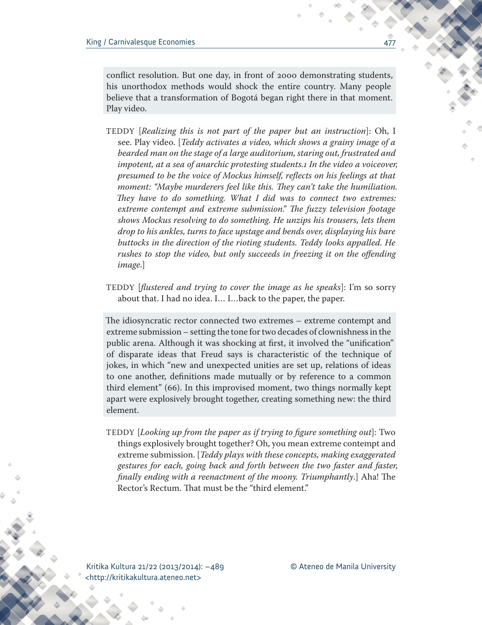conflict resolution. But one day, in front of 2000 demonstrating students, his unorthodox methods would shock the entire country. Many people believe that a transformation of Bogotá began right there in that moment. Play video.

- TEDDY [*Realizing this is not part of the paper but an instruction*]: Oh, I see. Play video. [*Teddy activates a video, which shows a grainy image of a bearded man on the stage of a large auditorium, staring out, frustrated and impotent, at a sea of anarchic protesting students.1 In the video a voiceover, presumed to be the voice of Mockus himself, reflects on his feelings at that moment: "Maybe murderers feel like this. They can't take the humiliation. They have to do something. What I did was to connect two extremes: extreme contempt and extreme submission." The fuzzy television footage shows Mockus resolving to do something. He unzips his trousers, lets them drop to his ankles, turns to face upstage and bends over, displaying his bare buttocks in the direction of the rioting students. Teddy looks appalled. He rushes to stop the video, but only succeeds in freezing it on the offending image*.]
- TEDDY [*flustered and trying to cover the image as he speaks*]: I'm so sorry about that. I had no idea. I… I…back to the paper, the paper.

The idiosyncratic rector connected two extremes – extreme contempt and extreme submission – setting the tone for two decades of clownishness in the public arena. Although it was shocking at first, it involved the "unification" of disparate ideas that Freud says is characteristic of the technique of jokes, in which "new and unexpected unities are set up, relations of ideas to one another, definitions made mutually or by reference to a common third element" (66). In this improvised moment, two things normally kept apart were explosively brought together, creating something new: the third element.

TEDDY [*Looking up from the paper as if trying to figure something out*]: Two things explosively brought together? Oh, you mean extreme contempt and extreme submission. [*Teddy plays with these concepts, making exaggerated gestures for each, going back and forth between the two faster and faster, finally ending with a reenactment of the moony. Triumphantly*.] Aha! The Rector's Rectum. That must be the "third element."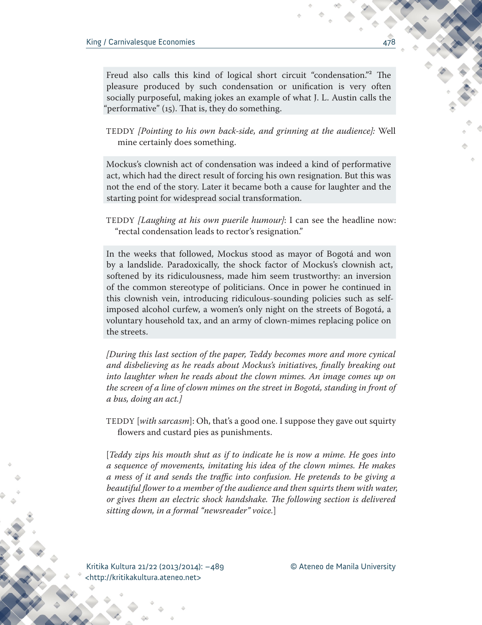Freud also calls this kind of logical short circuit "condensation."<sup>2</sup> The pleasure produced by such condensation or unification is very often socially purposeful, making jokes an example of what J. L. Austin calls the "performative" (15). That is, they do something.

TEDDY *[Pointing to his own back-side, and grinning at the audience]:* Well mine certainly does something.

Mockus's clownish act of condensation was indeed a kind of performative act, which had the direct result of forcing his own resignation. But this was not the end of the story. Later it became both a cause for laughter and the starting point for widespread social transformation.

TEDDY *[Laughing at his own puerile humour]*: I can see the headline now: "rectal condensation leads to rector's resignation."

In the weeks that followed, Mockus stood as mayor of Bogotá and won by a landslide. Paradoxically, the shock factor of Mockus's clownish act, softened by its ridiculousness, made him seem trustworthy: an inversion of the common stereotype of politicians. Once in power he continued in this clownish vein, introducing ridiculous-sounding policies such as selfimposed alcohol curfew, a women's only night on the streets of Bogotá, a voluntary household tax, and an army of clown-mimes replacing police on the streets.

*[During this last section of the paper, Teddy becomes more and more cynical and disbelieving as he reads about Mockus's initiatives, finally breaking out into laughter when he reads about the clown mimes. An image comes up on the screen of a line of clown mimes on the street in Bogotá, standing in front of a bus, doing an act.]*

TEDDY [*with sarcasm*]: Oh, that's a good one. I suppose they gave out squirty flowers and custard pies as punishments.

[*Teddy zips his mouth shut as if to indicate he is now a mime. He goes into a sequence of movements, imitating his idea of the clown mimes. He makes a mess of it and sends the traffic into confusion. He pretends to be giving a*  beautiful flower to a member of the audience and then squirts them with water, *or gives them an electric shock handshake. The following section is delivered sitting down, in a formal "newsreader" voice.*]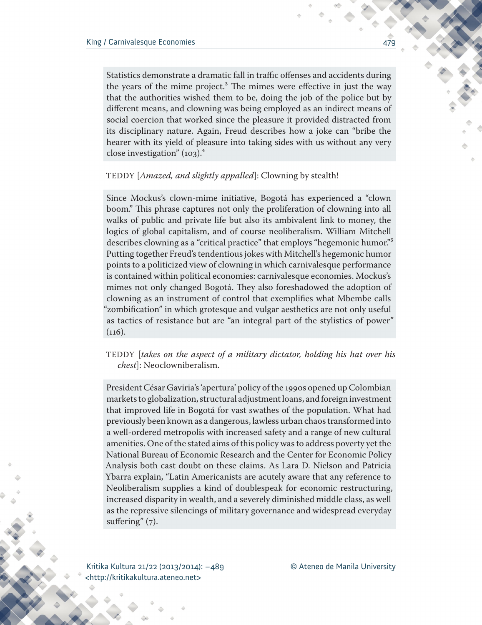Statistics demonstrate a dramatic fall in traffic offenses and accidents during the years of the mime project.<sup>3</sup> The mimes were effective in just the way that the authorities wished them to be, doing the job of the police but by different means, and clowning was being employed as an indirect means of social coercion that worked since the pleasure it provided distracted from its disciplinary nature. Again, Freud describes how a joke can "bribe the hearer with its yield of pleasure into taking sides with us without any very close investigation"  $(103)^4$ 

## TEDDY [*Amazed, and slightly appalled*]: Clowning by stealth!

Since Mockus's clown-mime initiative, Bogotá has experienced a "clown boom." This phrase captures not only the proliferation of clowning into all walks of public and private life but also its ambivalent link to money, the logics of global capitalism, and of course neoliberalism. William Mitchell describes clowning as a "critical practice" that employs "hegemonic humor."<sup>5</sup> Putting together Freud's tendentious jokes with Mitchell's hegemonic humor points to a politicized view of clowning in which carnivalesque performance is contained within political economies: carnivalesque economies. Mockus's mimes not only changed Bogotá. They also foreshadowed the adoption of clowning as an instrument of control that exemplifies what Mbembe calls "zombification" in which grotesque and vulgar aesthetics are not only useful as tactics of resistance but are "an integral part of the stylistics of power"  $(116).$ 

# TEDDY [*takes on the aspect of a military dictator, holding his hat over his chest*]: Neoclowniberalism.

President César Gaviria's 'apertura' policy of the 1990s opened up Colombian markets to globalization, structural adjustment loans, and foreign investment that improved life in Bogotá for vast swathes of the population. What had previously been known as a dangerous, lawless urban chaos transformed into a well-ordered metropolis with increased safety and a range of new cultural amenities. One of the stated aims of this policy was to address poverty yet the National Bureau of Economic Research and the Center for Economic Policy Analysis both cast doubt on these claims. As Lara D. Nielson and Patricia Ybarra explain, "Latin Americanists are acutely aware that any reference to Neoliberalism supplies a kind of doublespeak for economic restructuring, increased disparity in wealth, and a severely diminished middle class, as well as the repressive silencings of military governance and widespread everyday suffering" (7).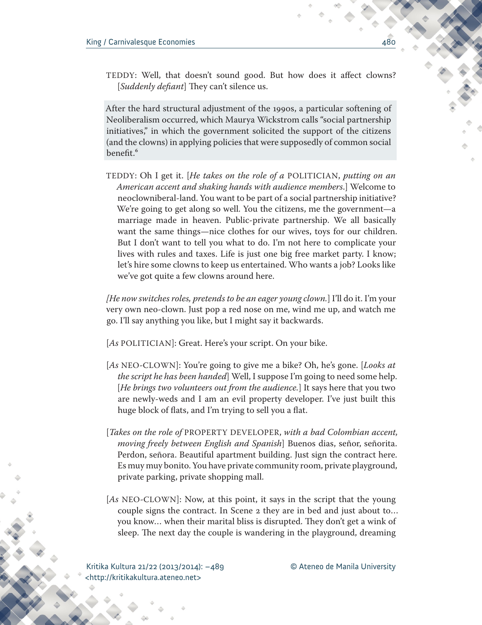TEDDY: Well, that doesn't sound good. But how does it affect clowns? [*Suddenly defiant*] They can't silence us.

After the hard structural adjustment of the 1990s, a particular softening of Neoliberalism occurred, which Maurya Wickstrom calls "social partnership initiatives," in which the government solicited the support of the citizens (and the clowns) in applying policies that were supposedly of common social benefit.<sup>6</sup>

TEDDY: Oh I get it. [*He takes on the role of a* POLITICIAN, *putting on an American accent and shaking hands with audience members*.] Welcome to neoclowniberal-land. You want to be part of a social partnership initiative? We're going to get along so well. You the citizens, me the government—a marriage made in heaven. Public-private partnership. We all basically want the same things—nice clothes for our wives, toys for our children. But I don't want to tell you what to do. I'm not here to complicate your lives with rules and taxes. Life is just one big free market party. I know; let's hire some clowns to keep us entertained. Who wants a job? Looks like we've got quite a few clowns around here.

*[He now switches roles, pretends to be an eager young clown.*] I'll do it. I'm your very own neo-clown. Just pop a red nose on me, wind me up, and watch me go. I'll say anything you like, but I might say it backwards.

[*As* POLITICIAN]: Great. Here's your script. On your bike.

- [*As* NEO-CLOWN]: You're going to give me a bike? Oh, he's gone. [*Looks at the script he has been handed*] Well, I suppose I'm going to need some help. [*He brings two volunteers out from the audience.*] It says here that you two are newly-weds and I am an evil property developer. I've just built this huge block of flats, and I'm trying to sell you a flat.
- [*Takes on the role of* PROPERTY DEVELOPER, *with a bad Colombian accent, moving freely between English and Spanish*] Buenos dias, señor, señorita. Perdon, señora. Beautiful apartment building. Just sign the contract here. Es muy muy bonito. You have private community room, private playground, private parking, private shopping mall.
- [*As* NEO-CLOWN]: Now, at this point, it says in the script that the young couple signs the contract. In Scene 2 they are in bed and just about to… you know… when their marital bliss is disrupted. They don't get a wink of sleep. The next day the couple is wandering in the playground, dreaming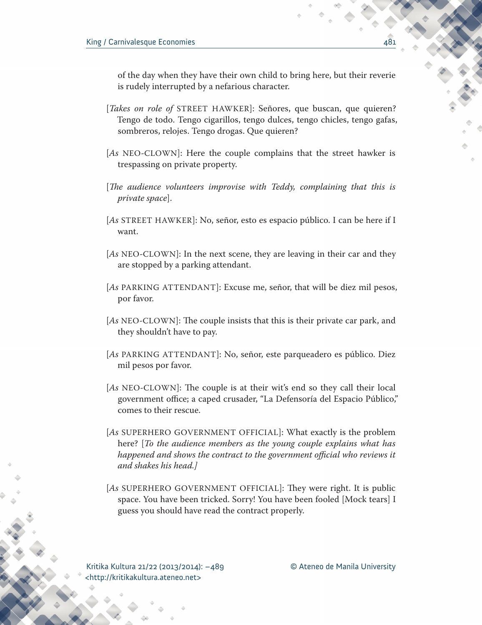of the day when they have their own child to bring here, but their reverie is rudely interrupted by a nefarious character.

- [*Takes on role of* STREET HAWKER]: Señores, que buscan, que quieren? Tengo de todo. Tengo cigarillos, tengo dulces, tengo chicles, tengo gafas, sombreros, relojes. Tengo drogas. Que quieren?
- [*As* NEO-CLOWN]: Here the couple complains that the street hawker is trespassing on private property.
- [*The audience volunteers improvise with Teddy, complaining that this is private space*].
- [*As* STREET HAWKER]: No, señor, esto es espacio público. I can be here if I want.
- [*As* NEO-CLOWN]: In the next scene, they are leaving in their car and they are stopped by a parking attendant.
- [*As* PARKING ATTENDANT]: Excuse me, señor, that will be diez mil pesos, por favor.
- [*As* NEO-CLOWN]: The couple insists that this is their private car park, and they shouldn't have to pay.
- [*As* PARKING ATTENDANT]: No, señor, este parqueadero es público. Diez mil pesos por favor.
- [As NEO-CLOWN]: The couple is at their wit's end so they call their local government office; a caped crusader, "La Defensoría del Espacio Público," comes to their rescue.
- [*As* SUPERHERO GOVERNMENT OFFICIAL]: What exactly is the problem here? [*To the audience members as the young couple explains what has*  happened and shows the contract to the government official who reviews it *and shakes his head.]*
- [*As* SUPERHERO GOVERNMENT OFFICIAL]: They were right. It is public space. You have been tricked. Sorry! You have been fooled [Mock tears] I guess you should have read the contract properly.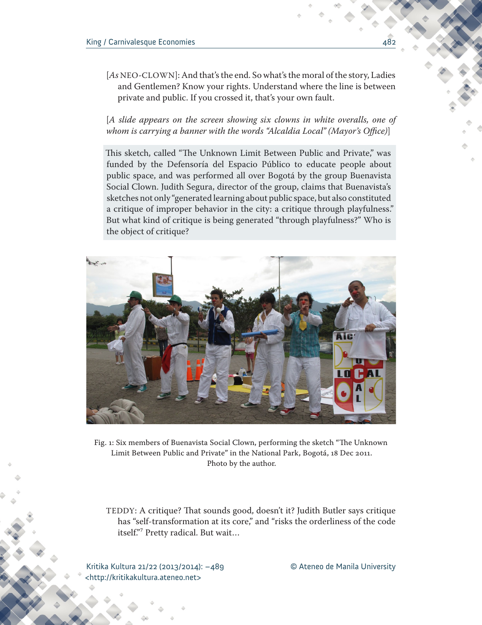[As NEO-CLOWN]: And that's the end. So what's the moral of the story, Ladies and Gentlemen? Know your rights. Understand where the line is between private and public. If you crossed it, that's your own fault.

[*A slide appears on the screen showing six clowns in white overalls, one of whom is carrying a banner with the words "Alcaldia Local" (Mayor's Office)*]

This sketch, called "The Unknown Limit Between Public and Private," was funded by the Defensoría del Espacio Público to educate people about public space, and was performed all over Bogotá by the group Buenavista Social Clown. Judith Segura, director of the group, claims that Buenavista's sketches not only "generated learning about public space, but also constituted a critique of improper behavior in the city: a critique through playfulness." But what kind of critique is being generated "through playfulness?" Who is the object of critique?



Fig. 1: Six members of Buenavista Social Clown, performing the sketch "The Unknown Limit Between Public and Private" in the National Park, Bogotá, 18 Dec 2011. Photo by the author.

TEDDY: A critique? That sounds good, doesn't it? Judith Butler says critique has "self-transformation at its core," and "risks the orderliness of the code itself."7 Pretty radical. But wait…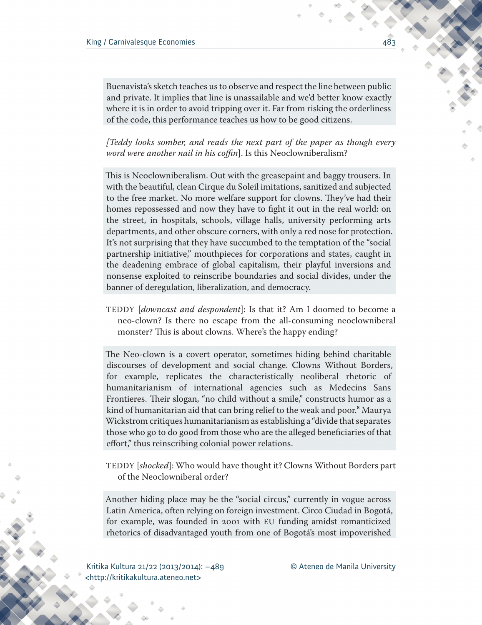Buenavista's sketch teaches us to observe and respect the line between public and private. It implies that line is unassailable and we'd better know exactly where it is in order to avoid tripping over it. Far from risking the orderliness of the code, this performance teaches us how to be good citizens.

*[Teddy looks somber, and reads the next part of the paper as though every word were another nail in his coffin*]. Is this Neoclowniberalism?

This is Neoclowniberalism. Out with the greasepaint and baggy trousers. In with the beautiful, clean Cirque du Soleil imitations, sanitized and subjected to the free market. No more welfare support for clowns. They've had their homes repossessed and now they have to fight it out in the real world: on the street, in hospitals, schools, village halls, university performing arts departments, and other obscure corners, with only a red nose for protection. It's not surprising that they have succumbed to the temptation of the "social partnership initiative," mouthpieces for corporations and states, caught in the deadening embrace of global capitalism, their playful inversions and nonsense exploited to reinscribe boundaries and social divides, under the banner of deregulation, liberalization, and democracy.

TEDDY [*downcast and despondent*]: Is that it? Am I doomed to become a neo-clown? Is there no escape from the all-consuming neoclowniberal monster? This is about clowns. Where's the happy ending?

The Neo-clown is a covert operator, sometimes hiding behind charitable discourses of development and social change. Clowns Without Borders, for example, replicates the characteristically neoliberal rhetoric of humanitarianism of international agencies such as Medecins Sans Frontieres. Their slogan, "no child without a smile," constructs humor as a kind of humanitarian aid that can bring relief to the weak and poor.<sup>8</sup> Maurya Wickstrom critiques humanitarianism as establishing a "divide that separates those who go to do good from those who are the alleged beneficiaries of that effort," thus reinscribing colonial power relations.

TEDDY [*shocked*]: Who would have thought it? Clowns Without Borders part of the Neoclowniberal order?

Another hiding place may be the "social circus," currently in vogue across Latin America, often relying on foreign investment. Circo Ciudad in Bogotá, for example, was founded in 2001 with EU funding amidst romanticized rhetorics of disadvantaged youth from one of Bogotá's most impoverished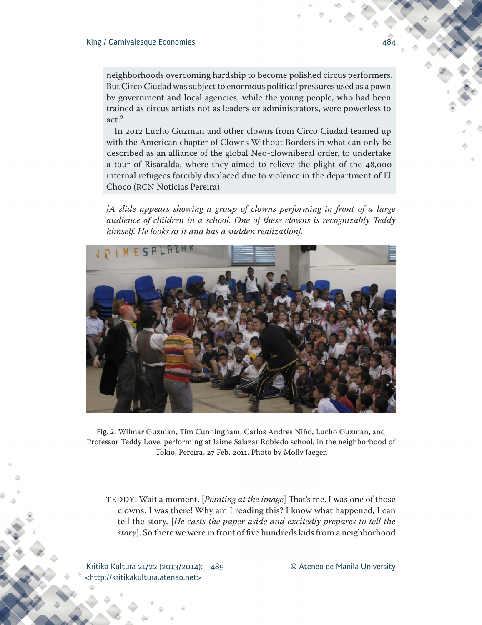neighborhoods overcoming hardship to become polished circus performers. But Circo Ciudad was subject to enormous political pressures used as a pawn by government and local agencies, while the young people, who had been trained as circus artists not as leaders or administrators, were powerless to  $act<sup>9</sup>$ 

In 2012 Lucho Guzman and other clowns from Circo Ciudad teamed up with the American chapter of Clowns Without Borders in what can only be described as an alliance of the global Neo-clowniberal order, to undertake a tour of Risaralda, where they aimed to relieve the plight of the 48,000 internal refugees forcibly displaced due to violence in the department of El Choco (RCN Noticias Pereira).

*[A slide appears showing a group of clowns performing in front of a large audience of children in a school. One of these clowns is recognizably Teddy himself. He looks at it and has a sudden realization].*



**Fig. 2.** Wilmar Guzman, Tim Cunningham, Carlos Andres Niño, Lucho Guzman, and Professor Teddy Love, performing at Jaime Salazar Robledo school, in the neighborhood of Tokio, Pereira, 27 Feb. 2011. Photo by Molly Jaeger.

TEDDY: Wait a moment. [*Pointing at the image*] That's me. I was one of those clowns. I was there! Why am I reading this? I know what happened, I can tell the story. [*He casts the paper aside and excitedly prepares to tell the story*]. So there we were in front of five hundreds kids from a neighborhood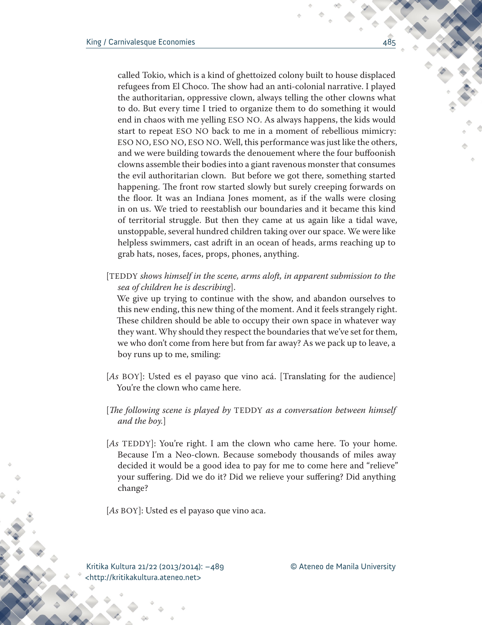called Tokio, which is a kind of ghettoized colony built to house displaced refugees from El Choco. The show had an anti-colonial narrative. I played the authoritarian, oppressive clown, always telling the other clowns what to do. But every time I tried to organize them to do something it would end in chaos with me yelling ESO NO. As always happens, the kids would start to repeat ESO NO back to me in a moment of rebellious mimicry: ESO NO, ESO NO, ESO NO. Well, this performance was just like the others, and we were building towards the denouement where the four buffoonish clowns assemble their bodies into a giant ravenous monster that consumes the evil authoritarian clown. But before we got there, something started happening. The front row started slowly but surely creeping forwards on the floor. It was an Indiana Jones moment, as if the walls were closing in on us. We tried to reestablish our boundaries and it became this kind of territorial struggle. But then they came at us again like a tidal wave, unstoppable, several hundred children taking over our space. We were like helpless swimmers, cast adrift in an ocean of heads, arms reaching up to grab hats, noses, faces, props, phones, anything.

[TEDDY *shows himself in the scene, arms aloft, in apparent submission to the sea of children he is describing*].

We give up trying to continue with the show, and abandon ourselves to this new ending, this new thing of the moment. And it feels strangely right. These children should be able to occupy their own space in whatever way they want. Why should they respect the boundaries that we've set for them, we who don't come from here but from far away? As we pack up to leave, a boy runs up to me, smiling:

- [*As* BOY]: Usted es el payaso que vino acá. [Translating for the audience] You're the clown who came here.
- [*The following scene is played by* TEDDY *as a conversation between himself and the boy.*]
- [As TEDDY]: You're right. I am the clown who came here. To your home. Because I'm a Neo-clown. Because somebody thousands of miles away decided it would be a good idea to pay for me to come here and "relieve" your suffering. Did we do it? Did we relieve your suffering? Did anything change?

[*As* BOY]: Usted es el payaso que vino aca.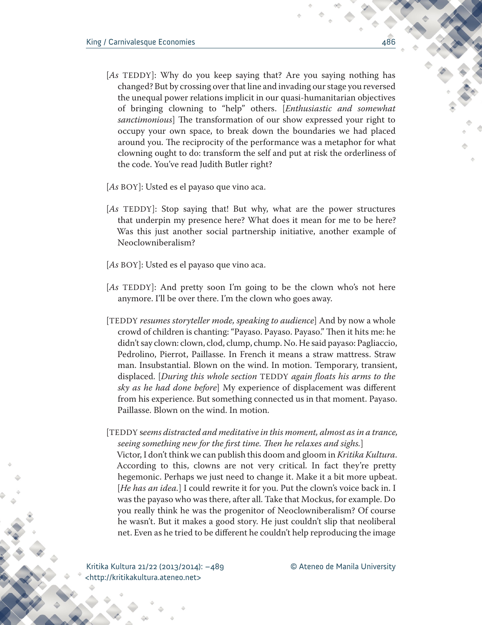- [*As* TEDDY]: Why do you keep saying that? Are you saying nothing has changed? But by crossing over that line and invading our stage you reversed the unequal power relations implicit in our quasi-humanitarian objectives of bringing clowning to "help" others. [*Enthusiastic and somewhat sanctimonious*] The transformation of our show expressed your right to occupy your own space, to break down the boundaries we had placed around you. The reciprocity of the performance was a metaphor for what clowning ought to do: transform the self and put at risk the orderliness of the code. You've read Judith Butler right?
- [*As* BOY]: Usted es el payaso que vino aca.
- [*As* TEDDY]: Stop saying that! But why, what are the power structures that underpin my presence here? What does it mean for me to be here? Was this just another social partnership initiative, another example of Neoclowniberalism?
- [*As* BOY]: Usted es el payaso que vino aca.
- [*As* TEDDY]: And pretty soon I'm going to be the clown who's not here anymore. I'll be over there. I'm the clown who goes away.
- [TEDDY *resumes storyteller mode, speaking to audience*] And by now a whole crowd of children is chanting: "Payaso. Payaso. Payaso." Then it hits me: he didn't say clown: clown, clod, clump, chump. No. He said payaso: Pagliaccio, Pedrolino, Pierrot, Paillasse. In French it means a straw mattress. Straw man. Insubstantial. Blown on the wind. In motion. Temporary, transient, displaced. [*During this whole section* TEDDY *again floats his arms to the sky as he had done before*] My experience of displacement was different from his experience. But something connected us in that moment. Payaso. Paillasse. Blown on the wind. In motion.

[TEDDY s*eems distracted and meditative in this moment, almost as in a trance, seeing something new for the first time. Then he relaxes and sighs.*] Victor, I don't think we can publish this doom and gloom in *Kritika Kultura*. According to this, clowns are not very critical. In fact they're pretty hegemonic. Perhaps we just need to change it. Make it a bit more upbeat. [He has an idea.] I could rewrite it for you. Put the clown's voice back in. I was the payaso who was there, after all. Take that Mockus, for example. Do you really think he was the progenitor of Neoclowniberalism? Of course he wasn't. But it makes a good story. He just couldn't slip that neoliberal net. Even as he tried to be different he couldn't help reproducing the image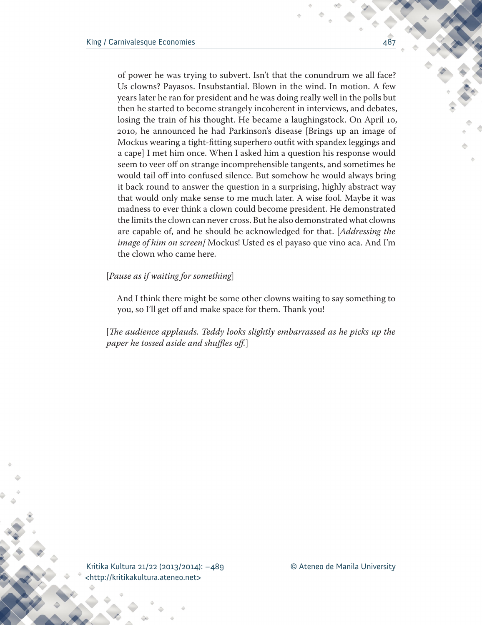of power he was trying to subvert. Isn't that the conundrum we all face? Us clowns? Payasos. Insubstantial. Blown in the wind. In motion. A few years later he ran for president and he was doing really well in the polls but then he started to become strangely incoherent in interviews, and debates, losing the train of his thought. He became a laughingstock. On April 10, 2010, he announced he had Parkinson's disease [Brings up an image of Mockus wearing a tight-fitting superhero outfit with spandex leggings and a cape] I met him once. When I asked him a question his response would seem to veer off on strange incomprehensible tangents, and sometimes he would tail off into confused silence. But somehow he would always bring it back round to answer the question in a surprising, highly abstract way that would only make sense to me much later. A wise fool. Maybe it was madness to ever think a clown could become president. He demonstrated the limits the clown can never cross. But he also demonstrated what clowns are capable of, and he should be acknowledged for that. [*Addressing the image of him on screen]* Mockus! Usted es el payaso que vino aca. And I'm the clown who came here.

## [*Pause as if waiting for something*]

And I think there might be some other clowns waiting to say something to you, so I'll get off and make space for them. Thank you!

[*The audience applauds. Teddy looks slightly embarrassed as he picks up the paper he tossed aside and shuffles off.*]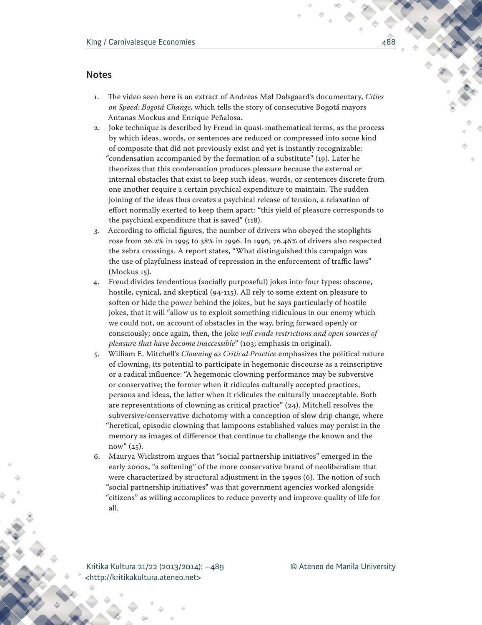## **Notes**

- 1. The video seen here is an extract of Andreas Møl Dalsgaard's documentary, *Cities on Speed: Bogotá Change,* which tells the story of consecutive Bogotá mayors Antanas Mockus and Enrique Peñalosa.
- 2. Joke technique is described by Freud in quasi-mathematical terms, as the process by which ideas, words, or sentences are reduced or compressed into some kind of composite that did not previously exist and yet is instantly recognizable: "condensation accompanied by the formation of a substitute" (19). Later he theorizes that this condensation produces pleasure because the external or internal obstacles that exist to keep such ideas, words, or sentences discrete from one another require a certain psychical expenditure to maintain. The sudden joining of the ideas thus creates a psychical release of tension, a relaxation of effort normally exerted to keep them apart: "this yield of pleasure corresponds to the psychical expenditure that is saved" (118).
- 3. According to official figures, the number of drivers who obeyed the stoplights rose from 26.2% in 1995 to 38% in 1996. In 1996, 76.46% of drivers also respected the zebra crossings. A report states, "What distinguished this campaign was the use of playfulness instead of repression in the enforcement of traffic laws" (Mockus 15).
- 4. Freud divides tendentious (socially purposeful) jokes into four types: obscene, hostile, cynical, and skeptical (94-115). All rely to some extent on pleasure to soften or hide the power behind the jokes, but he says particularly of hostile jokes, that it will "allow us to exploit something ridiculous in our enemy which we could not, on account of obstacles in the way, bring forward openly or consciously; once again, then, the joke *will evade restrictions and open sources of pleasure that have become inaccessible*" (103; emphasis in original).
- 5. William E. Mitchell's *Clowning as Critical Practice* emphasizes the political nature of clowning, its potential to participate in hegemonic discourse as a reinscriptive or a radical influence: "A hegemonic clowning performance may be subversive or conservative; the former when it ridicules culturally accepted practices, persons and ideas, the latter when it ridicules the culturally unacceptable. Both are representations of clowning as critical practice" (24). Mitchell resolves the subversive/conservative dichotomy with a conception of slow drip change, where "heretical, episodic clowning that lampoons established values may persist in the memory as images of difference that continue to challenge the known and the now" (25).
- 6. Maurya Wickstrom argues that "social partnership initiatives" emerged in the early 2000s, "a softening" of the more conservative brand of neoliberalism that were characterized by structural adjustment in the 1990s (6). The notion of such "social partnership initiatives" was that government agencies worked alongside "citizens" as willing accomplices to reduce poverty and improve quality of life for all.